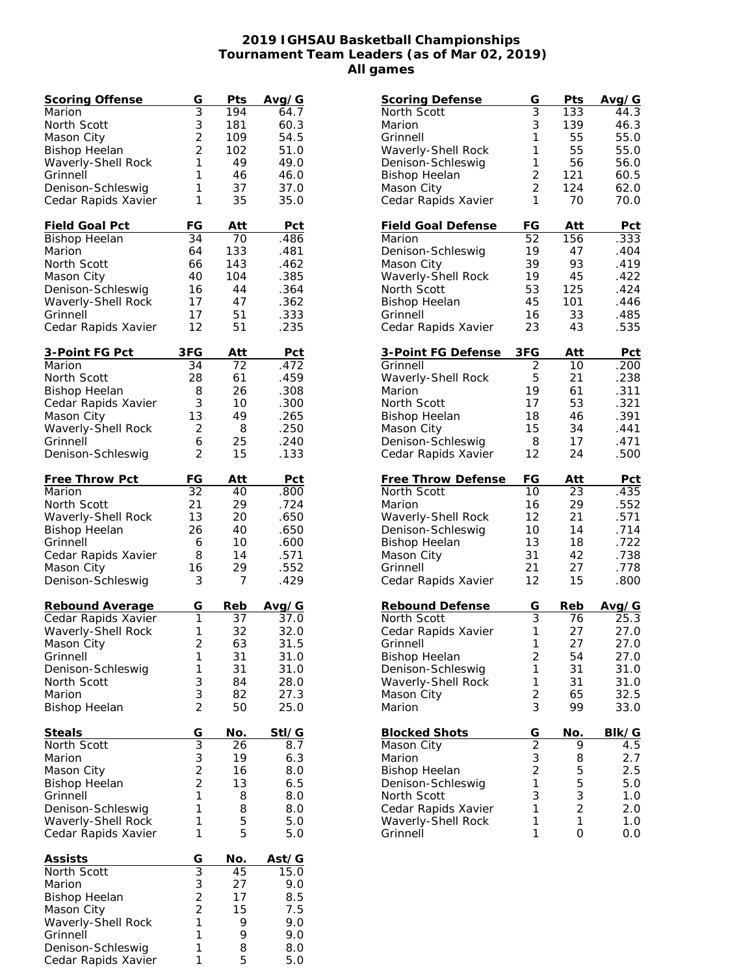## **2019 IGHSAU Basketball Championships Tournament Team Leaders (as of Mar 02, 2019) All games**

| Scoring Offense                | G              | Pts        | Avg/G      |
|--------------------------------|----------------|------------|------------|
| Marion                         | $\overline{3}$ | 194        | 64.7       |
| North Scott                    | 3              | 181        | 60.3       |
| Mason City                     | $\overline{2}$ | 109        | 54.5       |
| <b>Bishop Heelan</b>           | $\overline{2}$ | 102        | 51.0       |
| Waverly-Shell Rock             | 1              | 49         | 49.0       |
| Grinnell                       | 1              | 46         | 46.0       |
| Denison-Schleswig              | 1              | 37         | 37.0       |
| Cedar Rapids Xavier            | 1              | 35         | 35.0       |
|                                |                |            |            |
| Field Goal Pct                 | FG             | Att        | Pct        |
| <b>Bishop Heelan</b>           | 34             | 70         | .486       |
| Marion                         | 64             | 133        | .481       |
| North Scott                    | 66             | 143        | .462       |
| Mason City                     | 40             | 104        | .385       |
| Denison-Schleswig              | 16             | 44         | .364       |
| Waverly-Shell Rock             | 17             | 47         | .362       |
| Grinnell                       | 17             | 51         | .333       |
| Cedar Rapids Xavier            | 12             | 51         | .235       |
|                                |                |            |            |
| <u>3-Point FG Pct</u>          | 3FG            | Att        | <u>Pct</u> |
| Marion                         | 34             | 72         | .472       |
| North Scott                    | 28             | 61         | .459       |
| <b>Bishop Heelan</b>           | 8              | 26         | .308       |
| Cedar Rapids Xavier            | 3              | 10         | .300       |
| Mason City                     | 13             | 49         | .265       |
|                                | 2              | 8          | .250       |
| Waverly-Shell Rock<br>Grinnell |                |            |            |
|                                | 6<br>2         | 25         | .240       |
| Denison-Schleswig              |                | 15         | .133       |
| Free Throw Pct                 | FG             | Att        | <u>Pct</u> |
| Marion                         | 32             | 40         | .800       |
| North Scott                    | 21             | 29         | .724       |
|                                | 13             | 20         | .650       |
| Waverly-Shell Rock             |                |            |            |
| <b>Bishop Heelan</b>           | 26             | 40         | .650       |
| Grinnell                       | 6              | 10         | .600       |
| Cedar Rapids Xavier            | 8              | 14         | .571       |
| Mason City                     | 16             | 29         | .552       |
| Denison-Schleswig              | 3              | 7          | .429       |
| Rebound Average                | G              | <u>Reb</u> | Avg/G      |
| Cedar Rapids Xavier            | 1              | 37         | 37.0       |
| Waverly-Shell Rock             | 1              | 32         | 32.0       |
| Mason City                     | $\overline{c}$ | 63         | 31.5       |
| Grinnell                       | 1              | 31         | 31.0       |
| Denison-Schleswig              | 1              | 31         | 31.0       |
| North Scott                    | 3              | 84         | 28.0       |
| Marion                         | 3              | 82         | 27.3       |
| <b>Bishop Heelan</b>           | $\overline{2}$ | 50         | 25.0       |
|                                |                |            |            |
| <b>Steals</b>                  | G              | No.        | Stl/G      |
| North Scott                    | $\overline{3}$ | 26         | 8.7        |
| Marion                         | 3              | 19         | 6.3        |
| Mason City                     | $\overline{2}$ | 16         | 8.0        |
| <b>Bishop Heelan</b>           | $\overline{c}$ | 13         | 6.5        |
| Grinnell                       | 1              | 8          | 8.0        |
| Denison-Schleswig              | 1              | 8          | 8.0        |
| Waverly-Shell Rock             | 1              | 5          | 5.0        |
| Cedar Rapids Xavier            | 1              | 5          | 5.0        |
|                                |                |            |            |
| Assists                        | $\overline{G}$ | No.        | Ast/G      |
| North Scott                    | $\overline{3}$ | 45         | 15.0       |
| Marion                         |                | 27         | 9.0        |
| <b>Bishop Heelan</b>           | $\frac{3}{2}$  | 17         | 8.5        |
| Mason City                     | $\overline{2}$ | 15         | 7.5        |
| Waverly-Shell Rock             | $\mathbf{1}$   | 9          | 9.0        |
| Grinnell                       | 1              | 9          | 9.0        |
| Denison-Schleswig              | 1              | 8          | 8.0        |
| Cedar Rapids Xavier            | 1              | 5          | 5.0        |
|                                |                |            |            |

| <b>Scoring Defense</b>         | G              | Pts            | Avg/G      |
|--------------------------------|----------------|----------------|------------|
| North Scott                    | 3              | 133            | 44.3       |
| Marion                         | 3              | 139            | 46.3       |
| Grinnell                       | 1              | 55             | 55.0       |
| Waverly-Shell Rock             | 1              | 55             | 55.0       |
| Denison-Schleswig              | 1              | 56             | 56.0       |
| <b>Bishop Heelan</b>           | $\overline{c}$ | 121            | 60.5       |
| Mason City                     | $\overline{2}$ | 124            | 62.0       |
| Cedar Rapids Xavier            | 1              | 70             | 70.0       |
|                                |                |                |            |
| <b>Field Goal Defense</b>      | FG             | Att            | Pct        |
| Marion                         | 52             | 156            | .333       |
| Denison-Schleswig              | 19             | 47             | .404       |
| Mason City                     | 39             | 93             | .419       |
| Waverly-Shell Rock             | 19             | 45             | .422       |
| North Scott                    | 53             | 125            | .424       |
| <b>Bishop Heelan</b>           | 45             | 101            | .446       |
| Grinnell                       | 16             | 33             | .485       |
| Cedar Rapids Xavier            | 23             | 43             | .535       |
|                                |                |                |            |
| <u>3-Point FG Defense</u>      | 3FG            | Att            | <u>Pct</u> |
| Grinnell                       | $\overline{2}$ | 10             | .200       |
| Waverly-Shell Rock             | 5              | 21             | .238       |
| Marion                         | 19             | 61             | .311       |
| North Scott                    | 17             | 53             | .321       |
| <b>Bishop Heelan</b>           | 18             | 46             | .391       |
| Mason City                     | 15             | 34             | .441       |
| Denison-Schleswig              | 8              | 17             | .471       |
| Cedar Rapids Xavier            | 12             | 24             | .500       |
|                                |                |                |            |
| <b>Free Throw Defense</b>      | FG             | Att            | Pct        |
| North Scott                    | 10             | 23             | .435       |
| Marion                         | 16             | 29             | .552       |
| Waverly-Shell Rock             | 12             | 21             | .571       |
| Denison-Schleswig              | 10             | 14             | .714       |
| <b>Bishop Heelan</b>           | 13             | 18             | .722       |
| Mason City                     | 31             | 42             | .738       |
| Grinnell                       | 21             | 27             | .778       |
| Cedar Rapids Xavier            |                |                |            |
|                                | 12             | 15             | .800       |
|                                |                |                |            |
| Rebound Defense                | G              | Reb            | Avg/G      |
| North Scott                    | 3              | 76             | 25.3       |
| Cedar Rapids Xavier            | 1              | 27             | 27.0       |
| Grinnell                       | 1              | 27             | 27.0       |
| <b>Bishop Heelan</b>           | $\overline{c}$ | 54             | 27.0       |
| Denison-Schleswig              | 1              | 31             | 31.0       |
| Waverly-Shell Rock             | 1              | 31             | 31.0       |
| Mason City                     | $\overline{2}$ | 65             | 32.5       |
| Marion                         | 3              | 99             | 33.0       |
|                                |                | No.            | BIk/G      |
| <b>Blocked Shots</b>           | G              | 9              | 4.5        |
| Mason City                     |                |                |            |
| Marion                         | $\frac{2}{3}$  | 8              | 2.7        |
| <b>Bishop Heelan</b>           | $\overline{2}$ | 5              | 2.5        |
| Denison-Schleswig              | $\mathbf{1}$   | 5              | 5.0        |
| North Scott                    | 3              | 3              | $1.0$      |
| Cedar Rapids Xavier            | 1              | $\overline{2}$ | 2.0        |
| Waverly-Shell Rock<br>Grinnell | 1<br>1         | 1<br>0         | 1.0<br>0.0 |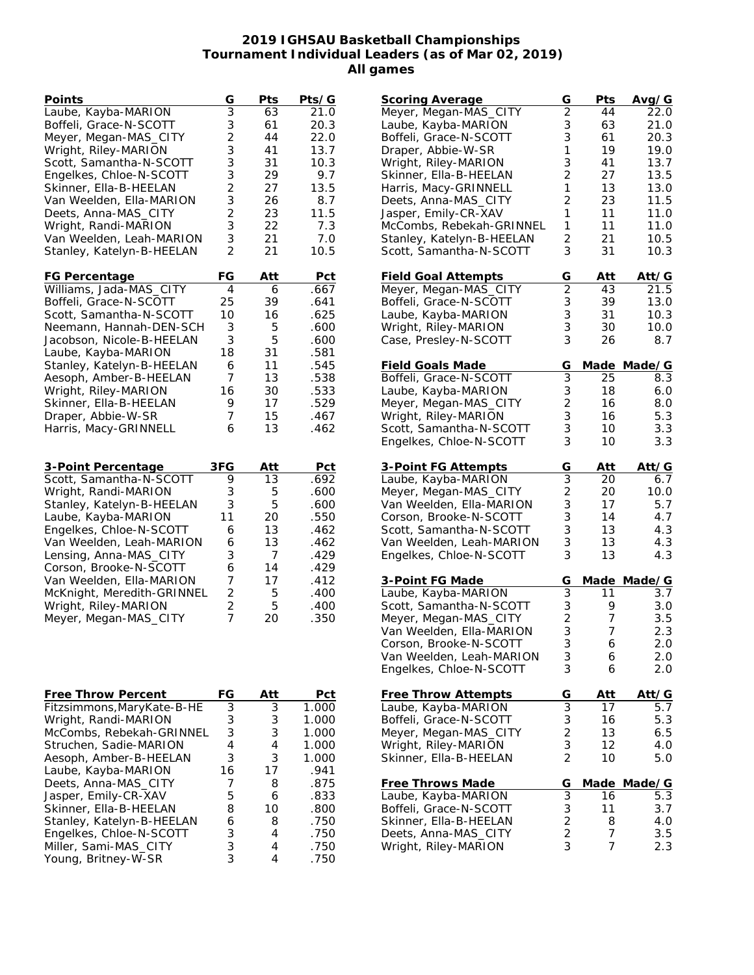## **2019 IGHSAU Basketball Championships Tournament Individual Leaders (as of Mar 02, 2019) All games**

| Points                     | G              | Pts | Pts/G |
|----------------------------|----------------|-----|-------|
| Laube, Kayba-MARION        | $\overline{3}$ | 63  | 21.0  |
| Boffeli, Grace-N-SCOTT     | 3              | 61  | 20.3  |
| Meyer, Megan-MAS_CITY      | $\overline{c}$ | 44  | 22.0  |
| Wright, Riley-MARION       | 3              | 41  | 13.7  |
| Scott, Samantha-N-SCOTT    | 3              | 31  | 10.3  |
| Engelkes, Chloe-N-SCOTT    | 3              | 29  | 9.7   |
| Skinner, Ella-B-HEELAN     | $\overline{c}$ | 27  | 13.5  |
| Van Weelden, Ella-MARION   | 3              | 26  | 8.7   |
| Deets, Anna-MAS_CITY       | $\overline{c}$ | 23  | 11.5  |
| Wright, Randi-MARION       | 3              | 22  | 7.3   |
| Van Weelden, Leah-MARION   | 3              | 21  | 7.0   |
| Stanley, Katelyn-B-HEELAN  | $\overline{2}$ | 21  | 10.5  |
| FG Percentage              | FG             | Att | Pct   |
| Williams, Jada-MAS_CITY    | 4              | 6   | .667  |
| Boffeli, Grace-N-SCOTT     | 25             | 39  | .641  |
| Scott, Samantha-N-SCOTT    | 10             | 16  | .625  |
| Neemann, Hannah-DEN-SCH    | 3              | 5   | .600  |
| Jacobson, Nicole-B-HEELAN  | 3              | 5   | .600  |
| Laube, Kayba-MARION        | 18             | 31  | .581  |
| Stanley, Katelyn-B-HEELAN  | 6              | 11  | .545  |
| Aesoph, Amber-B-HEELAN     | 7              | 13  | .538  |
| Wright, Riley-MARION       | 16             | 30  | .533  |
| Skinner, Ella-B-HEELAN     | 9              | 17  | .529  |
| Draper, Abbie-W-SR         | 7              | 15  | .467  |
| Harris, Macy-GRINNELL      | 6              | 13  | .462  |
|                            |                |     |       |
| 3-Point Percentage         | 3FG            | Att | Pct   |
| Scott, Samantha-N-SCOTT    | 9              | 13  | .692  |
| Wright, Randi-MARION       | 3              | 5   | .600  |
| Stanley, Katelyn-B-HEELAN  | 3              | 5   | .600  |
| Laube, Kayba-MARION        | 11             | 20  | .550  |
| Engelkes, Chloe-N-SCOTT    | 6              | 13  | .462  |
| Van Weelden, Leah-MARION   | 6              | 13  | .462  |
| Lensing, Anna-MAS_CITY     | 3              | 7   | .429  |
| Corson, Brooke-N-SCOTT     | 6              | 14  | .429  |
| Van Weelden, Ella-MARION   | 7              | 17  | .412  |
| McKnight, Meredith-GRINNEL | $\overline{c}$ | 5   | .400  |
| Wright, Riley-MARION       | $\overline{c}$ | 5   | .400  |
| Meyer, Megan-MAS_CITY      | $\overline{7}$ | 20  | .350  |
|                            |                |     |       |
|                            |                |     |       |
|                            |                |     |       |
| Free Throw Percent         | FG             | Att | Pct   |
| Fitzsimmons, MaryKate-B-HE | 3              | 3   | 1.000 |
| Wright, Randi-MARION       | 3              | 3   | 1.000 |
| McCombs, Rebekah-GRINNEL   | 3              | 3   | 1.000 |
| Struchen, Sadie-MARION     | $\overline{4}$ | 4   | 1.000 |
| Aesoph, Amber-B-HEELAN     | 3              | 3   | 1.000 |
| Laube, Kayba-MARION        | 16             | 17  | .941  |
| Deets, Anna-MAS_CITY       | 7              | 8   | .875  |
| Jasper, Emily-CR-XAV       | 5              | 6   | .833  |
| Skinner, Ella-B-HEELAN     | 8              | 10  | .800  |
| Stanley, Katelyn-B-HEELAN  | 6              | 8   | .750  |
| Engelkes, Chloe-N-SCOTT    | 3              | 4   | .750  |
| Miller, Sami-MAS_CITY      | 3              | 4   | .750  |
| Young, Britney-W-SR        | 3              | 4   | .750  |

| <b>Scoring Average</b>     | G                       | Pts  | Avg/G        |
|----------------------------|-------------------------|------|--------------|
| Meyer, Megan-MAS_CITY      | $\overline{2}$          | 44   | 22.0         |
| Laube, Kayba-MARION        | 3                       | 63   | 21.0         |
| Boffeli, Grace-N-SCOTT     | 3                       | 61   | 20.3         |
| Draper, Abbie-W-SR         | 1                       | 19   | 19.0         |
| Wright, Riley-MARION       | 3                       | 41   | 13.7         |
| Skinner, Ella-B-HEELAN     | $\overline{2}$          | 27   | 13.5         |
| Harris, Macy-GRINNELL      | 1                       | 13   | 13.0         |
| Deets, Anna-MAS_CITY       | $\overline{c}$          | 23   | 11.5         |
| Jasper, Emily-CR-XAV       | 1                       | 11   | 11.0         |
| McCombs, Rebekah-GRINNEL   | 1                       | 11   | 11.0         |
| Stanley, Katelyn-B-HEELAN  | $\overline{2}$          | 21   | 10.5         |
| Scott, Samantha-N-SCOTT    | 3                       | 31   | 10.3         |
|                            |                         |      |              |
| <b>Field Goal Attempts</b> | G                       | Att  | <u>Att/G</u> |
| Meyer, Megan-MAS_CITY      | $\overline{2}$          | 43   | 21.5         |
| Boffeli, Grace-N-SCOTT     | 3                       | 39   | 13.0         |
| Laube, Kayba-MARION        | 3                       | 31   | 10.3         |
| Wright, Riley-MARION       | 3                       | 30   | 10.0         |
| Case, Presley-N-SCOTT      | 3                       | 26   | 8.7          |
|                            |                         |      |              |
| <b>Field Goals Made</b>    | G                       | Made | Made/G       |
| Boffeli, Grace-N-SCOTT     | 3                       | 25   | 8.3          |
| Laube, Kayba-MARION        | 3                       | 18   | 6.0          |
| Meyer, Megan-MAS_CITY      | $\overline{c}$          | 16   | 8.0          |
| Wright, Riley-MARION       | 3                       | 16   | 5.3          |
| Scott, Samantha-N-SCOTT    | 3                       | 10   | 3.3          |
| Engelkes, Chloe-N-SCOTT    | 3                       | 10   | 3.3          |
|                            |                         |      |              |
| 3-Point FG Attempts        | G                       | Att  | Att/G        |
| Laube, Kayba-MARION        | $\overline{3}$          | 20   | 6.7          |
| Meyer, Megan-MAS_CITY      | $\overline{\mathbf{c}}$ | 20   | 10.0         |
| Van Weelden, Ella-MARION   | 3                       | 17   | 5.7          |
| Corson, Brooke-N-SCOTT     | 3                       | 14   | 4.7          |
| Scott, Samantha-N-SCOTT    | 3                       | 13   | 4.3          |
| Van Weelden, Leah-MARION   | 3                       | 13   | 4.3          |
| Engelkes, Chloe-N-SCOTT    | 3                       | 13   | 4.3          |
|                            |                         |      |              |
| 3-Point FG Made            | G                       | Made | Made/G       |
| Laube, Kayba-MARION        | 3                       | 11   | 3.7          |
| Scott, Samantha-N-SCOTT    | 3                       | 9    | 3.0          |
| Meyer, Megan-MAS_CITY      | $\frac{2}{3}$           | 7    | 3.5          |
| Van Weelden, Ella-MARION   |                         | 7    | 2.3          |
| Corson, Brooke-N-SCOTT     | 3                       | 6    | $2.0\,$      |
| Van Weelden, Leah-MARION   | 3                       | 6    | 2.0          |
| Engelkes, Chloe-N-SCOTT    | 3                       | 6    | 2.0          |
|                            |                         |      |              |
| <b>Free Throw Attempts</b> | G                       | Att  | Att/G        |
| Laube, Kayba-MARION        | 3                       | 17   | 5.7          |
| Boffeli, Grace-N-SCOTT     | 3                       | 16   | 5.3          |
| Meyer, Megan-MAS_CITY      | $\overline{c}$          | 13   | 6.5          |
| Wright, Riley-MARION       | 3                       | 12   | 4.0          |
| Skinner, Ella-B-HEELAN     | $\overline{2}$          | 10   | 5.0          |
| Free Throws Made           | G                       | Made | Made/G       |
| Laube, Kayba-MARION        | 3                       | 16   | 5.3          |
| Boffeli, Grace-N-SCOTT     |                         | 11   | 3.7          |
| Skinner, Ella-B-HEELAN     | $\frac{3}{2}$           | 8    | 4.0          |
| Deets, Anna-MAS_CITY       | $\overline{c}$          | 7    | 3.5          |
| Wright, Riley-MARION       | 3                       | 7    | 2.3          |
|                            |                         |      |              |